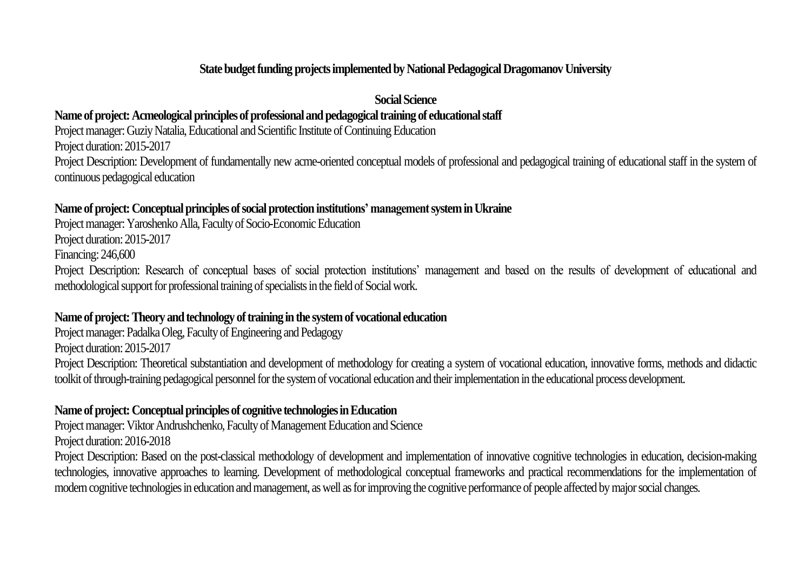#### **State budget funding projects implemented by National Pedagogical Dragomanov University**

#### **Social Science**

#### Name of project: Acmeological principles of professional and pedagogical training of educational staff

Project manager: Guziy Natalia, Educational and Scientific Institute of Continuing Education

Project duration: 2015-2017

Project Description: Development of fundamentally new acme-oriented conceptual models of professional and pedagogical training of educational staff in the system of continuous pedagogical education

#### **Name of project:Conceptual principles of social protection institutions' management system in Ukraine**

Project manager: Yaroshenko Alla, Faculty of Socio-Economic Education Project duration: 2015-2017

Financing: 246,600

Project Description: Research of conceptual bases of social protection institutions' management and based on the results of development of educational and methodological support for professional training of specialists in the field of Social work.

#### Name of project: Theory and technology of training in the system of vocational education

Project manager: Padalka Oleg, Faculty of Engineering and Pedagogy

Project duration: 2015-2017

Project Description: Theoretical substantiation and development of methodology for creating a system of vocational education, innovative forms, methods and didactic toolkit of through-training pedagogical personnel for the system of vocational education and their implementation in the educational process development.

#### **Name of project:Conceptual principles of cognitive technologies in Education**

Project manager: Viktor Andrushchenko, Faculty of Management Education and Science Project duration: 2016-2018

Project Description: Based on the post-classical methodology of development and implementation of innovative cognitive technologies in education, decision-making technologies, innovative approaches to learning. Development of methodological conceptual frameworks and practical recommendations for the implementation of modern cognitive technologies in education and management, as well as for improving the cognitive performance of people affected by major social changes.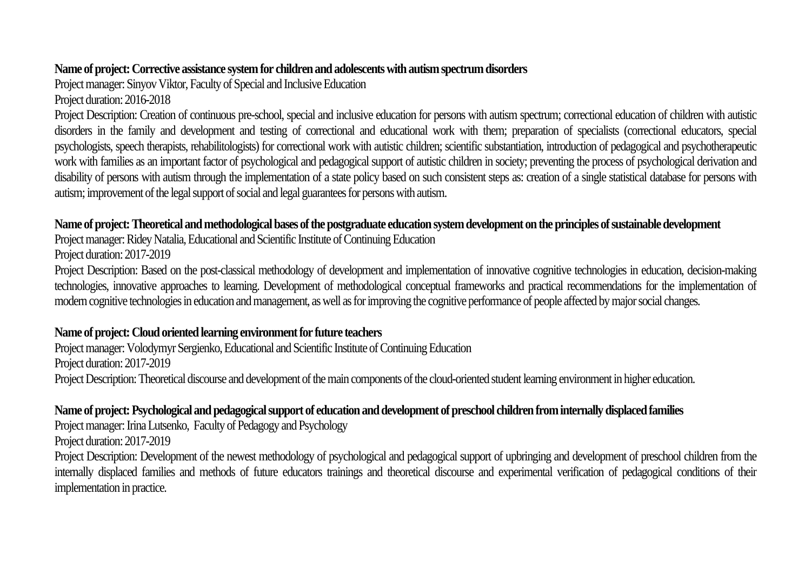#### Name of project: Corrective assistance system for children and adolescents with autism spectrum disorders

Project manager: Sinyov Viktor, Faculty of Special and Inclusive Education

Project duration: 2016-2018

Project Description: Creation of continuous pre-school, special and inclusive education for persons with autism spectrum; correctional education of children with autistic disorders in the family and development and testing of correctional and educational work with them; preparation of specialists (correctional educators, special psychologists, speech therapists, rehabilitologists) for correctional work with autistic children; scientific substantiation, introduction of pedagogical and psychotherapeutic work with families as an important factor of psychological and pedagogical support of autistic children in society; preventing the process of psychological derivation and disability of persons with autism through the implementation of a state policy based on such consistent steps as: creation of a single statistical database for persons with autism; improvement of the legal support of social and legal guarantees for persons with autism.

## **Name of project:Theoretical and methodological bases of the postgraduate education system development on the principles of sustainable development**

Project manager: Ridey Natalia, Educational and Scientific Institute of Continuing Education

Project duration: 2017-2019

Project Description: Based on the post-classical methodology of development and implementation of innovative cognitive technologies in education, decision-making technologies, innovative approaches to learning. Development of methodological conceptual frameworks and practical recommendations for the implementation of modern cognitive technologies in education and management, as well as for improving the cognitive performance of people affected by major social changes.

## **Name of project:Cloud orientedlearning environment for future teachers**

Project manager: Volodymyr Sergienko, Educational and Scientific Institute of Continuing Education Project duration: 2017-2019 Project Description: Theoretical discourse and development of the main components of the cloud-oriented student learning environment in higher education.

## **Name of project:Psychological and pedagogical support of education and development of preschool children from internally displaced families**

Project manager: Irina Lutsenko, Faculty of Pedagogy and Psychology Project duration: 2017-2019

Project Description: Development of the newest methodology of psychological and pedagogical support of upbringing and development of preschool children from the internally displaced families and methods of future educators trainings and theoretical discourse and experimental verification of pedagogical conditions of their implementation in practice.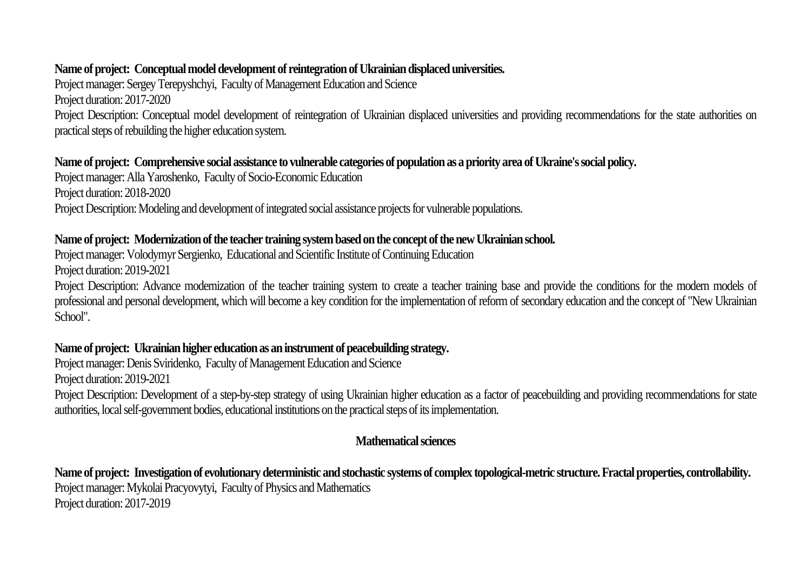#### **Name of project: Conceptual model development of reintegration of Ukrainian displaced universities.**

Project manager: Sergey Terepyshchyi, Faculty of Management Education and Science Project duration: 2017-2020 Project Description: Conceptual model development of reintegration of Ukrainian displaced universities and providing recommendations for the state authorities on practical steps of rebuilding the higher education system.

#### **Name of project: Comprehensive social assistance to vulnerable categories of population as a priority area of Ukraine's social policy.**

Project manager: Alla Yaroshenko, Faculty of Socio-Economic Education Project duration: 2018-2020 Project Description: Modeling and development of integrated social assistance projects for vulnerable populations.

#### Name of project: Modernization of the teacher training system based on the concept of the new Ukrainian school.

Project manager: Volodymyr Sergienko, Educational and Scientific Institute of Continuing Education Project duration: 2019-2021

Project Description: Advance modernization of the teacher training system to create a teacher training base and provide the conditions for the modern models of professional and personal development, which will become a key condition for the implementation of reform of secondary education and the concept of "New Ukrainian School".

## Name of project: Ukrainian higher education as an instrument of peacebuilding strategy.

Project manager: Denis Sviridenko, Faculty of Management Education and Science Project duration: 2019-2021 Project Description: Development of a step-by-step strategy of using Ukrainian higher education as a factor of peacebuilding and providing recommendations for state

authorities, local self-government bodies, educational institutions on the practical steps of its implementation.

## **Mathematical sciences**

**Name of project: Investigation of evolutionary deterministic and stochastic systems of complex topological-metric structure. Fractal properties, controllability.** Project manager: Mykolai Pracyovytyi, Faculty of Physics and Mathematics Project duration: 2017-2019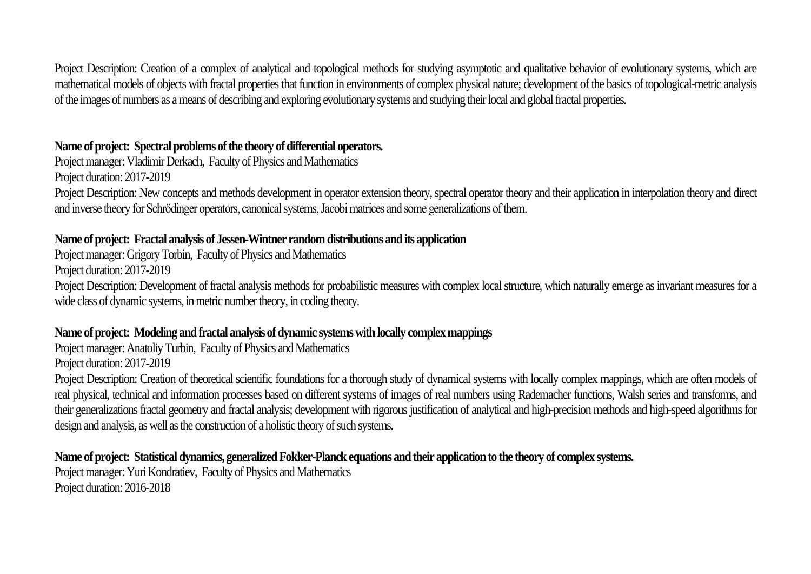Project Description: Creation of a complex of analytical and topological methods for studying asymptotic and qualitative behavior of evolutionary systems, which are mathematical models of objects with fractal properties that function in environments of complex physical nature; development of the basics of topological-metric analysis of the images of numbers as a means of describing and exploring evolutionary systems and studying their local and global fractal properties.

#### **Name of project: Spectral problems of the theory of differential operators.**

Project manager: Vladimir Derkach, Faculty of Physics and Mathematics Project duration: 2017-2019 Project Description: New concepts and methods development in operator extension theory, spectral operator theory and their application in interpolation theory and direct and inverse theory for Schrödinger operators, canonical systems, Jacobi matrices and some generalizations of them.

## **Name of project: Fractal analysis of Jessen-Wintner random distributions and its application**

Project manager: Grigory Torbin, Faculty of Physics and Mathematics

Project duration: 2017-2019

Project Description: Development of fractal analysis methods for probabilistic measures with complex local structure, which naturally emerge as invariant measures for a wide class of dynamic systems, in metric number theory, in coding theory.

## **Name of project: Modeling and fractal analysis of dynamic systems with locally complex mappings**

Project manager: Anatoliy Turbin, Faculty of Physics and Mathematics

Project duration: 2017-2019

Project Description: Creation of theoretical scientific foundations for a thorough study of dynamical systems with locally complex mappings, which are often models of real physical, technical and information processes based on different systems of images of real numbers using Rademacher functions, Walsh series and transforms, and their generalizations fractal geometry and fractal analysis; development with rigorous justification of analytical and high-precision methods and high-speed algorithms for design and analysis, as well as the construction of a holistic theory of such systems.

**Name of project: Statistical dynamics, generalized Fokker-Planck equations and their application to the theory of complex systems.** Project manager: Yuri Kondratiev, Faculty of Physics and Mathematics Project duration: 2016-2018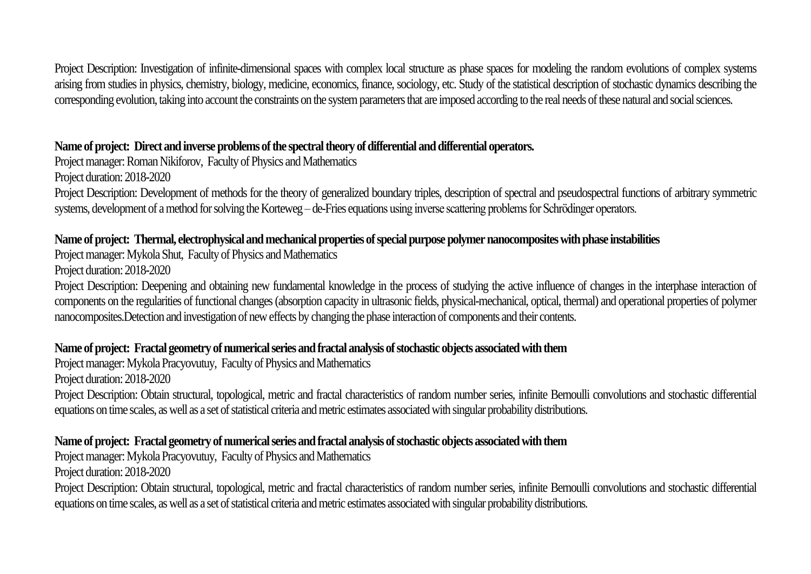## **Name of project: Direct and inverse problems of the spectral theory of differential and differential operators.**

Project manager: Roman Nikiforov, Faculty of Physics and Mathematics Project duration: 2018-2020 Project Description: Development of methods for the theory of generalized boundary triples, description of spectral and pseudospectral functions of arbitrary symmetric systems, development of a method for solving the Korteweg – de-Fries equations using inverse scattering problems for Schrödinger operators.

# **Name of project: Thermal, electrophysical and mechanical properties of special purpose polymer nanocomposites with phase instabilities**

Project manager: Mykola Shut, Faculty of Physics and Mathematics

Project duration: 2018-2020

Project Description: Deepening and obtaining new fundamental knowledge in the process of studying the active influence of changes in the interphase interaction of components on the regularities of functional changes (absorption capacity in ultrasonic fields, physical-mechanical, optical, thermal) and operational properties of polymer nanocomposites.Detection and investigation of new effects by changing the phase interaction of components and their contents.

## **Name of project: Fractal geometry of numerical series and fractal analysis of stochastic objects associated with them**

Project manager: Mykola Pracyovutuy, Faculty of Physics and Mathematics

Project duration: 2018-2020

Project Description: Obtain structural, topological, metric and fractal characteristics of random number series, infinite Bernoulli convolutions and stochastic differential equations on time scales, as well as a set of statistical criteria and metric estimates associated with singular probability distributions.

# **Name of project: Fractal geometry of numerical series and fractal analysis of stochastic objects associated with them**

Project manager: Mykola Pracyovutuy, Faculty of Physics and Mathematics Project duration: 2018-2020

Project Description: Obtain structural, topological, metric and fractal characteristics of random number series, infinite Bernoulli convolutions and stochastic differential equations on time scales, as well as a set of statistical criteria and metric estimates associated with singular probability distributions.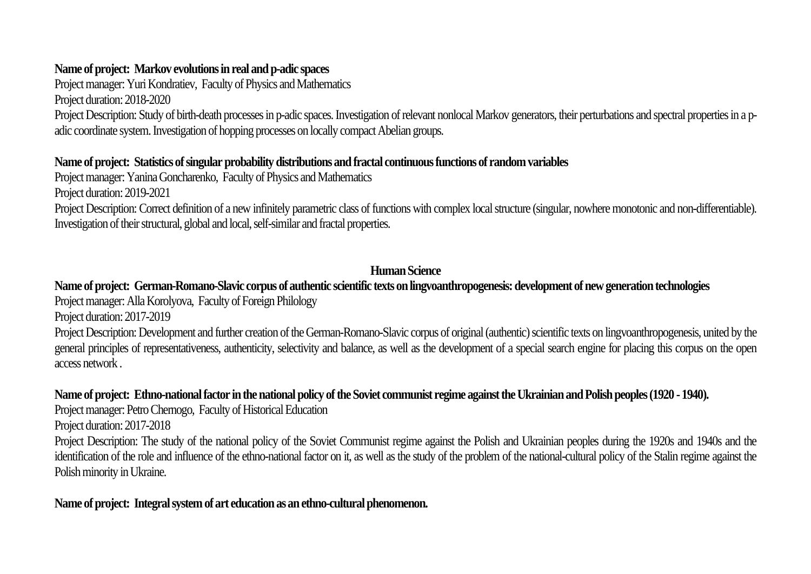# **Name of project: Markov evolutions in real and p-adic spaces**

Project manager: Yuri Kondratiev, Faculty of Physics and Mathematics

Project duration: 2018-2020

Project Description: Study of birth-death processes in p-adic spaces. Investigation of relevant nonlocal Markov generators, their perturbations and spectral properties in a padic coordinate system. Investigation of hopping processes on locally compact Abelian groups.

## **Name of project: Statistics of singular probability distributions and fractal continuous functions of random variables**

Project manager: Yanina Goncharenko, Faculty of Physics and Mathematics

Project duration: 2019-2021

Project Description: Correct definition of a new infinitely parametric class of functions with complex local structure (singular, nowhere monotonic and non-differentiable). Investigation of their structural, global and local, self-similar and fractal properties.

# **Human Science**

# **Name of project: German-Romano-Slavic corpus of authentic scientific texts on lingvoanthropogenesis: development of new generation technologies**

Project manager: Alla Korolyova, Faculty of Foreign Philology

Project duration: 2017-2019

Project Description: Development and further creation of the German-Romano-Slavic corpus of original (authentic) scientific texts on lingvoanthropogenesis, united by the general principles of representativeness, authenticity, selectivity and balance, as well as the development of a special search engine for placing this corpus on the open access network .

# **Name of project: Ethno-national factor in the national policy of the Soviet communist regime against the Ukrainian and Polish peoples (1920 -1940).**

Project manager: Petro Chernogo, Faculty of Historical Education

Project duration: 2017-2018

Project Description: The study of the national policy of the Soviet Communist regime against the Polish and Ukrainian peoples during the 1920s and 1940s and the identification of the role and influence of the ethno-national factor on it, as well as the study of the problem of the national-cultural policy of the Stalin regime against the Polish minority in Ukraine.

## **Name of project: Integral system of art education as an ethno-cultural phenomenon.**